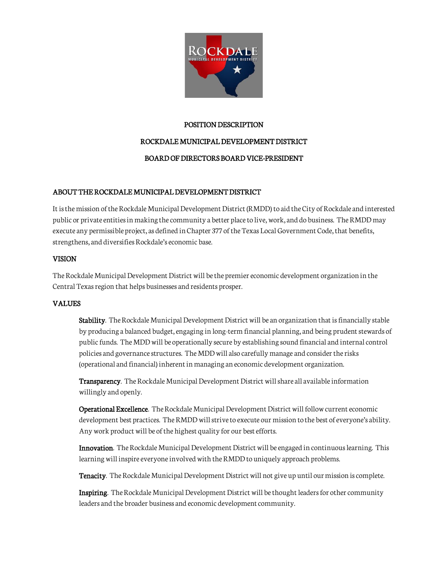

## POSITION DESCRIPTION

# ROCKDALE MUNICIPAL DEVELOPMENT DISTRICT

# BOARD OF DIRECTORS BOARD VICE-PRESIDENT

# ABOUT THE ROCKDALE MUNICIPAL DEVELOPMENT DISTRICT

It is the mission of the Rockdale Municipal Development District (RMDD) to aid the City of Rockdale and interested public or private entities in making the community a better place to live, work, and do business. The RMDD may execute any permissible project, as defined in Chapter 377 of the Texas Local Government Code, that benefits, strengthens, and diversifies Rockdale's economic base.

## VISION

The Rockdale Municipal Development District will be the premier economic development organization in the Central Texas region that helps businesses and residents prosper.

## VALUES

Stability. The Rockdale Municipal Development District will be an organization that is financially stable by producing a balanced budget, engaging in long-term financial planning, and being prudent stewards of public funds. The MDD will be operationally secure by establishing sound financial and internal control policies and governance structures. The MDD will also carefully manage and consider the risks (operational and financial) inherent in managing an economic development organization.

Transparency. The Rockdale Municipal Development District will share all available information willingly and openly.

Operational Excellence. The Rockdale Municipal Development District will follow current economic development best practices. The RMDD will strive to execute our mission to the best of everyone's ability. Any work product will be of the highest quality for our best efforts.

Innovation. The Rockdale Municipal Development District will be engaged in continuous learning. This learning will inspire everyone involved with the RMDD to uniquely approach problems.

Tenacity. The Rockdale Municipal Development District will not give up until our mission is complete.

Inspiring. The Rockdale Municipal Development District will be thought leaders for other community leaders and the broader business and economic development community.